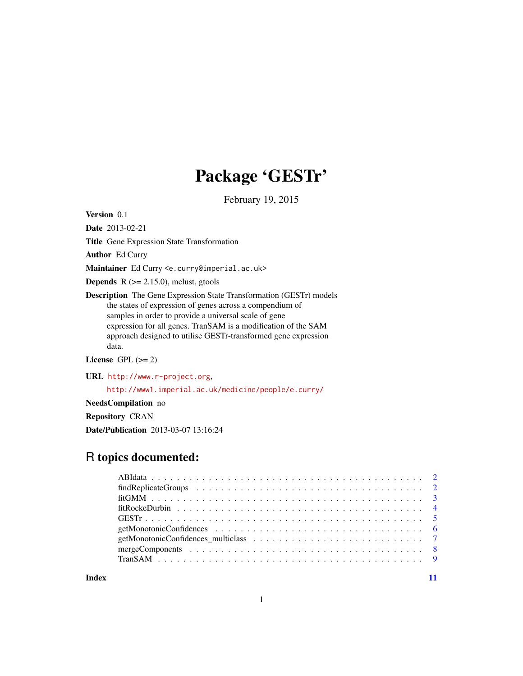## Package 'GESTr'

February 19, 2015

Version 0.1

Date 2013-02-21

Title Gene Expression State Transformation

Author Ed Curry

Maintainer Ed Curry <e.curry@imperial.ac.uk>

**Depends**  $R$  ( $>= 2.15.0$ ), mclust, gtools

Description The Gene Expression State Transformation (GESTr) models the states of expression of genes across a compendium of samples in order to provide a universal scale of gene expression for all genes. TranSAM is a modification of the SAM approach designed to utilise GESTr-transformed gene expression data.

License GPL  $(>= 2)$ 

URL <http://www.r-project.org>,

<http://www1.imperial.ac.uk/medicine/people/e.curry/>

NeedsCompilation no

Repository CRAN

Date/Publication 2013-03-07 13:16:24

### R topics documented:

**Index** [11](#page-10-0)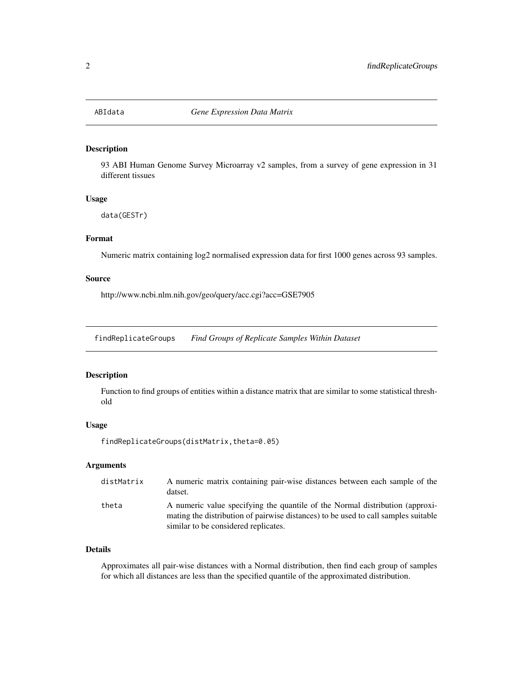<span id="page-1-0"></span>

93 ABI Human Genome Survey Microarray v2 samples, from a survey of gene expression in 31 different tissues

#### Usage

data(GESTr)

#### Format

Numeric matrix containing log2 normalised expression data for first 1000 genes across 93 samples.

#### Source

http://www.ncbi.nlm.nih.gov/geo/query/acc.cgi?acc=GSE7905

findReplicateGroups *Find Groups of Replicate Samples Within Dataset*

#### **Description**

Function to find groups of entities within a distance matrix that are similar to some statistical threshold

#### Usage

findReplicateGroups(distMatrix,theta=0.05)

#### Arguments

| distMatrix | A numeric matrix containing pair-wise distances between each sample of the<br>datset.                                                                                                                      |
|------------|------------------------------------------------------------------------------------------------------------------------------------------------------------------------------------------------------------|
| theta      | A numeric value specifying the quantile of the Normal distribution (approxi-<br>mating the distribution of pairwise distances) to be used to call samples suitable<br>similar to be considered replicates. |

#### Details

Approximates all pair-wise distances with a Normal distribution, then find each group of samples for which all distances are less than the specified quantile of the approximated distribution.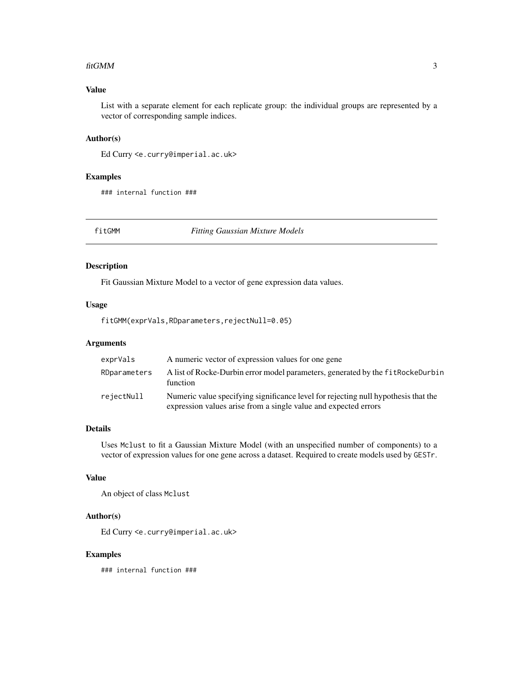#### <span id="page-2-0"></span>fitGMM 3

#### Value

List with a separate element for each replicate group: the individual groups are represented by a vector of corresponding sample indices.

#### Author(s)

Ed Curry <e.curry@imperial.ac.uk>

#### Examples

### internal function ###

fitGMM *Fitting Gaussian Mixture Models*

#### Description

Fit Gaussian Mixture Model to a vector of gene expression data values.

#### Usage

fitGMM(exprVals,RDparameters,rejectNull=0.05)

#### Arguments

| exprVals     | A numeric vector of expression values for one gene                                                                                                    |
|--------------|-------------------------------------------------------------------------------------------------------------------------------------------------------|
| RDparameters | A list of Rocke-Durbin error model parameters, generated by the fit RockeDurbin<br>function                                                           |
| rejectNull   | Numeric value specifying significance level for rejecting null hypothesis that the<br>expression values arise from a single value and expected errors |

#### Details

Uses Mclust to fit a Gaussian Mixture Model (with an unspecified number of components) to a vector of expression values for one gene across a dataset. Required to create models used by GESTr.

#### Value

An object of class Mclust

#### Author(s)

Ed Curry <e.curry@imperial.ac.uk>

#### Examples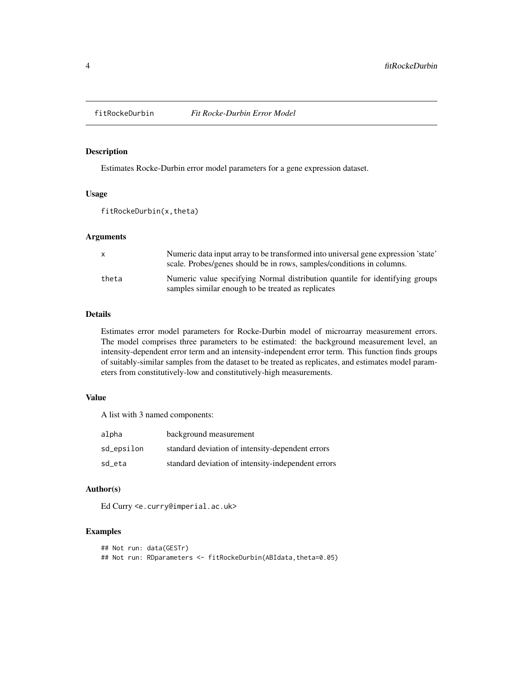<span id="page-3-0"></span>

Estimates Rocke-Durbin error model parameters for a gene expression dataset.

#### Usage

fitRockeDurbin(x,theta)

#### Arguments

| X     | Numeric data input array to be transformed into universal gene expression 'state'<br>scale. Probes/genes should be in rows, samples/conditions in columns. |
|-------|------------------------------------------------------------------------------------------------------------------------------------------------------------|
| theta | Numeric value specifying Normal distribution quantile for identifying groups<br>samples similar enough to be treated as replicates                         |

#### Details

Estimates error model parameters for Rocke-Durbin model of microarray measurement errors. The model comprises three parameters to be estimated: the background measurement level, an intensity-dependent error term and an intensity-independent error term. This function finds groups of suitably-similar samples from the dataset to be treated as replicates, and estimates model parameters from constitutively-low and constitutively-high measurements.

#### Value

A list with 3 named components:

| alpha      | background measurement                             |
|------------|----------------------------------------------------|
| sd_epsilon | standard deviation of intensity-dependent errors   |
| sd_eta     | standard deviation of intensity-independent errors |

#### Author(s)

Ed Curry <e.curry@imperial.ac.uk>

#### Examples

```
## Not run: data(GESTr)
## Not run: RDparameters <- fitRockeDurbin(ABIdata,theta=0.05)
```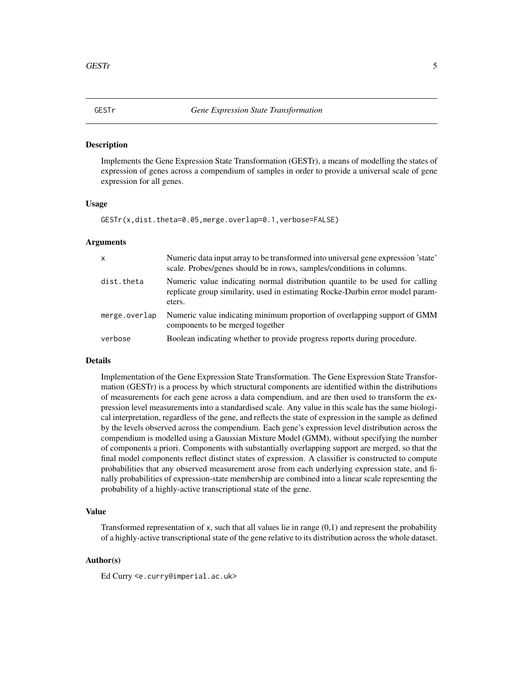<span id="page-4-0"></span>

Implements the Gene Expression State Transformation (GESTr), a means of modelling the states of expression of genes across a compendium of samples in order to provide a universal scale of gene expression for all genes.

#### Usage

GESTr(x,dist.theta=0.05,merge.overlap=0.1,verbose=FALSE)

#### Arguments

| $\mathsf{x}$  | Numeric data input array to be transformed into universal gene expression 'state'<br>scale. Probes/genes should be in rows, samples/conditions in columns.               |
|---------------|--------------------------------------------------------------------------------------------------------------------------------------------------------------------------|
| dist.theta    | Numeric value indicating normal distribution quantile to be used for calling<br>replicate group similarity, used in estimating Rocke-Durbin error model param-<br>eters. |
| merge.overlap | Numeric value indicating minimum proportion of overlapping support of GMM<br>components to be merged together                                                            |
| verbose       | Boolean indicating whether to provide progress reports during procedure.                                                                                                 |

#### Details

Implementation of the Gene Expression State Transformation. The Gene Expression State Transformation (GESTr) is a process by which structural components are identified within the distributions of measurements for each gene across a data compendium, and are then used to transform the expression level measurements into a standardised scale. Any value in this scale has the same biological interpretation, regardless of the gene, and reflects the state of expression in the sample as defined by the levels observed across the compendium. Each gene's expression level distribution across the compendium is modelled using a Gaussian Mixture Model (GMM), without specifying the number of components a priori. Components with substantially overlapping support are merged, so that the final model components reflect distinct states of expression. A classifier is constructed to compute probabilities that any observed measurement arose from each underlying expression state, and finally probabilities of expression-state membership are combined into a linear scale representing the probability of a highly-active transcriptional state of the gene.

#### Value

Transformed representation of x, such that all values lie in range  $(0,1)$  and represent the probability of a highly-active transcriptional state of the gene relative to its distribution across the whole dataset.

#### Author(s)

Ed Curry <e.curry@imperial.ac.uk>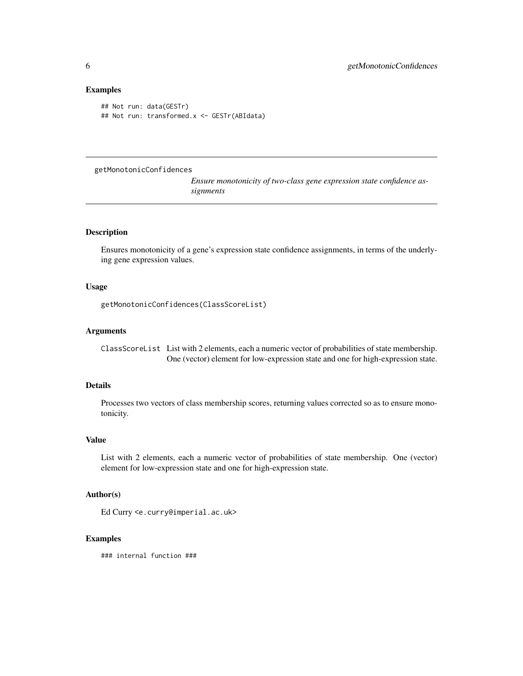#### Examples

```
## Not run: data(GESTr)
## Not run: transformed.x <- GESTr(ABIdata)
```
getMonotonicConfidences

*Ensure monotonicity of two-class gene expression state confidence assignments*

#### Description

Ensures monotonicity of a gene's expression state confidence assignments, in terms of the underlying gene expression values.

#### Usage

```
getMonotonicConfidences(ClassScoreList)
```
#### Arguments

ClassScoreList List with 2 elements, each a numeric vector of probabilities of state membership. One (vector) element for low-expression state and one for high-expression state.

#### Details

Processes two vectors of class membership scores, returning values corrected so as to ensure monotonicity.

#### Value

List with 2 elements, each a numeric vector of probabilities of state membership. One (vector) element for low-expression state and one for high-expression state.

#### Author(s)

Ed Curry <e.curry@imperial.ac.uk>

#### Examples

<span id="page-5-0"></span>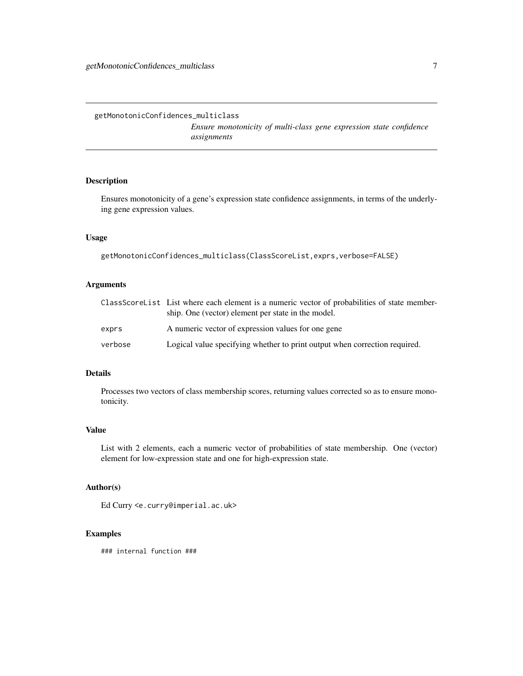*Ensure monotonicity of multi-class gene expression state confidence assignments*

#### <span id="page-6-0"></span>Description

Ensures monotonicity of a gene's expression state confidence assignments, in terms of the underlying gene expression values.

#### Usage

```
getMonotonicConfidences_multiclass(ClassScoreList,exprs,verbose=FALSE)
```
#### Arguments

|         | ClassScoreList List where each element is a numeric vector of probabilities of state member-<br>ship. One (vector) element per state in the model. |
|---------|----------------------------------------------------------------------------------------------------------------------------------------------------|
| exprs   | A numeric vector of expression values for one gene                                                                                                 |
| verbose | Logical value specifying whether to print output when correction required.                                                                         |

#### Details

Processes two vectors of class membership scores, returning values corrected so as to ensure monotonicity.

#### Value

List with 2 elements, each a numeric vector of probabilities of state membership. One (vector) element for low-expression state and one for high-expression state.

#### Author(s)

Ed Curry <e.curry@imperial.ac.uk>

#### Examples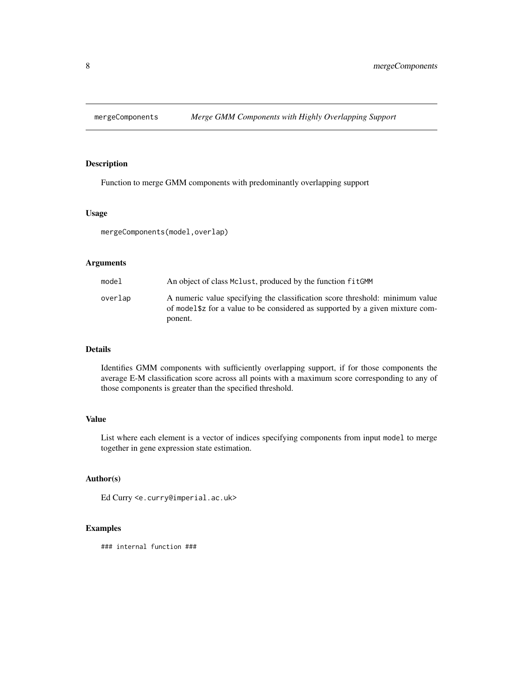<span id="page-7-0"></span>

Function to merge GMM components with predominantly overlapping support

#### Usage

mergeComponents(model,overlap)

#### Arguments

| model   | An object of class McLust, produced by the function fitGMM                                                                                                     |
|---------|----------------------------------------------------------------------------------------------------------------------------------------------------------------|
| overlap | A numeric value specifying the classification score threshold: minimum value<br>of model \$2 for a value to be considered as supported by a given mixture com- |
|         | ponent.                                                                                                                                                        |

#### Details

Identifies GMM components with sufficiently overlapping support, if for those components the average E-M classification score across all points with a maximum score corresponding to any of those components is greater than the specified threshold.

#### Value

List where each element is a vector of indices specifying components from input model to merge together in gene expression state estimation.

#### Author(s)

Ed Curry <e.curry@imperial.ac.uk>

#### Examples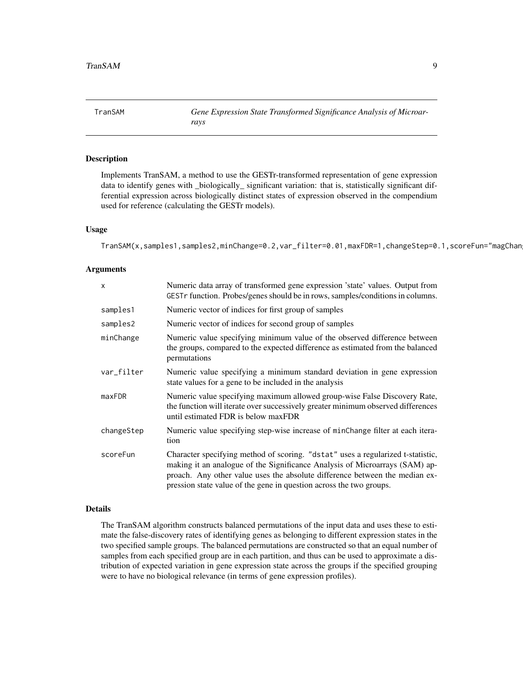<span id="page-8-0"></span>TranSAM *Gene Expression State Transformed Significance Analysis of Microarrays*

#### Description

Implements TranSAM, a method to use the GESTr-transformed representation of gene expression data to identify genes with \_biologically\_ significant variation: that is, statistically significant differential expression across biologically distinct states of expression observed in the compendium used for reference (calculating the GESTr models).

#### Usage

TranSAM(x,samples1,samples2,minChange=0.2,var\_filter=0.01,maxFDR=1,changeStep=0.1,scoreFun="magChan

#### Arguments

| $\mathsf{x}$ | Numeric data array of transformed gene expression 'state' values. Output from<br>GESTr function. Probes/genes should be in rows, samples/conditions in columns.                                                                                                                                                      |
|--------------|----------------------------------------------------------------------------------------------------------------------------------------------------------------------------------------------------------------------------------------------------------------------------------------------------------------------|
| samples1     | Numeric vector of indices for first group of samples                                                                                                                                                                                                                                                                 |
| samples2     | Numeric vector of indices for second group of samples                                                                                                                                                                                                                                                                |
| minChange    | Numeric value specifying minimum value of the observed difference between<br>the groups, compared to the expected difference as estimated from the balanced<br>permutations                                                                                                                                          |
| var_filter   | Numeric value specifying a minimum standard deviation in gene expression<br>state values for a gene to be included in the analysis                                                                                                                                                                                   |
| maxFDR       | Numeric value specifying maximum allowed group-wise False Discovery Rate,<br>the function will iterate over successively greater minimum observed differences<br>until estimated FDR is below maxFDR                                                                                                                 |
| changeStep   | Numeric value specifying step-wise increase of minChange filter at each itera-<br>tion                                                                                                                                                                                                                               |
| scoreFun     | Character specifying method of scoring. "dstat" uses a regularized t-statistic,<br>making it an analogue of the Significance Analysis of Microarrays (SAM) ap-<br>proach. Any other value uses the absolute difference between the median ex-<br>pression state value of the gene in question across the two groups. |

#### Details

The TranSAM algorithm constructs balanced permutations of the input data and uses these to estimate the false-discovery rates of identifying genes as belonging to different expression states in the two specified sample groups. The balanced permutations are constructed so that an equal number of samples from each specified group are in each partition, and thus can be used to approximate a distribution of expected variation in gene expression state across the groups if the specified grouping were to have no biological relevance (in terms of gene expression profiles).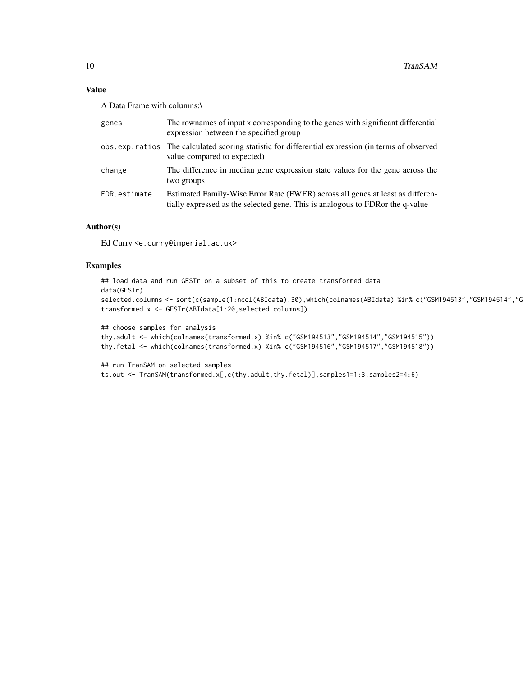#### Value

A Data Frame with columns:\

| genes        | The rownames of input x corresponding to the genes with significant differential<br>expression between the specified group                                      |
|--------------|-----------------------------------------------------------------------------------------------------------------------------------------------------------------|
|              | obs.exp.ratios The calculated scoring statistic for differential expression (in terms of observed<br>value compared to expected)                                |
| change       | The difference in median gene expression state values for the gene across the<br>two groups                                                                     |
| FDR.estimate | Estimated Family-Wise Error Rate (FWER) across all genes at least as differen-<br>tially expressed as the selected gene. This is analogous to FDRor the q-value |

#### Author(s)

Ed Curry <e.curry@imperial.ac.uk>

#### Examples

```
## load data and run GESTr on a subset of this to create transformed data
data(GESTr)
selected.columns <- sort(c(sample(1:ncol(ABIdata),30),which(colnames(ABIdata) %in% c("GSM194513","GSM194514","GSM194515","GSM194516","GSM194517","GSM194518"))))
transformed.x <- GESTr(ABIdata[1:20,selected.columns])
```

```
## choose samples for analysis
thy.adult <- which(colnames(transformed.x) %in% c("GSM194513","GSM194514","GSM194515"))
thy.fetal <- which(colnames(transformed.x) %in% c("GSM194516","GSM194517","GSM194518"))
```

```
## run TranSAM on selected samples
ts.out <- TranSAM(transformed.x[,c(thy.adult,thy.fetal)],samples1=1:3,samples2=4:6)
```